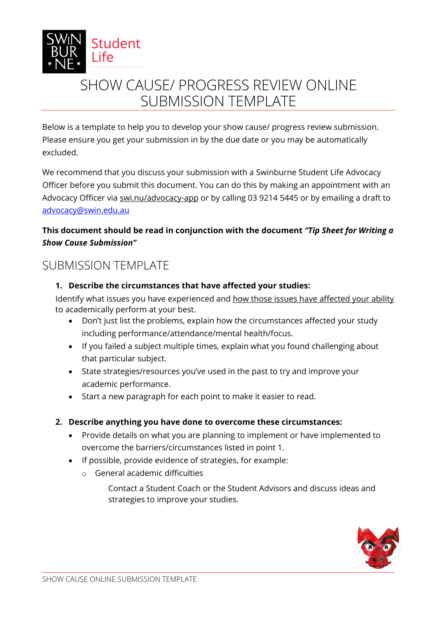

# SHOW CAUSE/ PROGRESS REVIEW ONLINE SUBMISSION TEMPLATE

Below is a template to help you to develop your show cause/ progress review submission. Please ensure you get your submission in by the due date or you may be automatically excluded.

We recommend that you discuss your submission with a Swinburne Student Life Advocacy Officer before you submit this document. You can do this by making an appointment with an Advocacy Officer via [swi.nu/advocacy-app](https://outlook.office365.com/owa/calendar/Bookings_Advocacy@swin.edu.au/bookings/) or by calling 03 9214 5445 or by emailing a draft to [advocacy@swin.edu.au](mailto:advocacy@swin.edu.au) 

# **This document should be read in conjunction with the document** *"Tip Sheet for Writing a Show Cause Submission"*

# SUBMISSION TEMPLATE

## **1. Describe the circumstances that have affected your studies:**

Identify what issues you have experienced and how those issues have affected your ability to academically perform at your best.

- Don't just list the problems, explain how the circumstances affected your study including performance/attendance/mental health/focus.
- If you failed a subject multiple times, explain what you found challenging about that particular subject.
- State strategies/resources you've used in the past to try and improve your academic performance.
- Start a new paragraph for each point to make it easier to read.

# **2. Describe anything you have done to overcome these circumstances:**

- Provide details on what you are planning to implement or have implemented to overcome the barriers/circumstances listed in point 1.
- If possible, provide evidence of strategies, for example:
	- o General academic difficulties
		- Contact a Student Coach or the Student Advisors and discuss ideas and strategies to improve your studies.

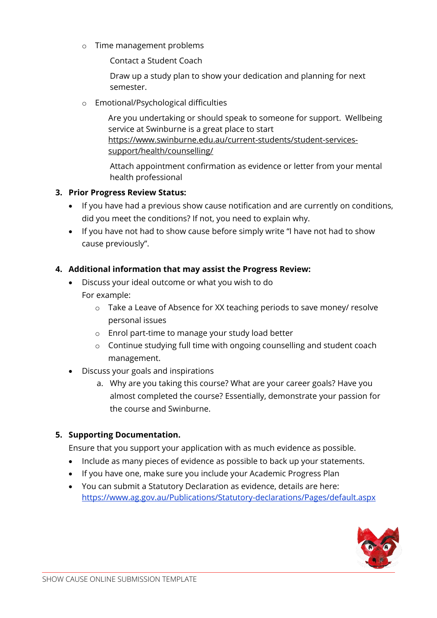o Time management problems

Contact a Student Coach

Draw up a study plan to show your dedication and planning for next semester.

o Emotional/Psychological difficulties

Are you undertaking or should speak to someone for support. Wellbeing service at Swinburne is a great place to start https://www.swinburne.edu.au/current-students/student-servicessupport/health/counselling/

Attach appointment confirmation as evidence or letter from your mental health professional

### **3. Prior Progress Review Status:**

- If you have had a previous show cause notification and are currently on conditions, did you meet the conditions? If not, you need to explain why.
- If you have not had to show cause before simply write "I have not had to show cause previously".

### **4. Additional information that may assist the Progress Review:**

- Discuss your ideal outcome or what you wish to do For example:
	- o Take a Leave of Absence for XX teaching periods to save money/ resolve personal issues
	- o Enrol part-time to manage your study load better
	- o Continue studying full time with ongoing counselling and student coach management.
- Discuss your goals and inspirations
	- a. Why are you taking this course? What are your career goals? Have you almost completed the course? Essentially, demonstrate your passion for the course and Swinburne.

### **5. Supporting Documentation.**

Ensure that you support your application with as much evidence as possible.

- Include as many pieces of evidence as possible to back up your statements.
- If you have one, make sure you include your Academic Progress Plan
- You can submit a Statutory Declaration as evidence, details are here: <https://www.ag.gov.au/Publications/Statutory-declarations/Pages/default.aspx>